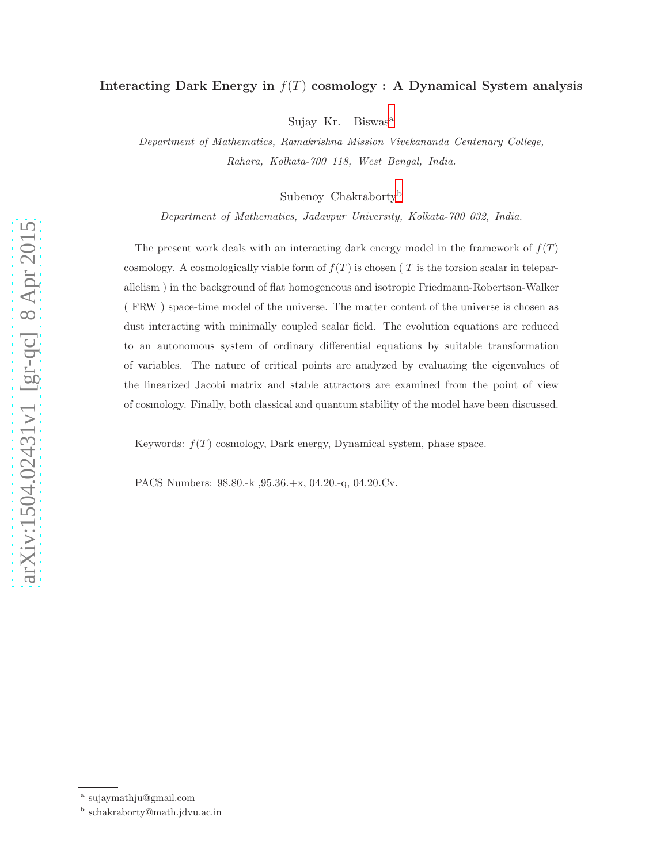## Interacting Dark Energy in  $f(T)$  cosmology : A Dynamical System analysis

Suj[a](#page-0-0)y Kr. Biswas<sup>a</sup>

Department of Mathematics, Ramakrishna Mission Vivekananda Centenary College, Rahara, Kolkata-700 118, West Bengal, India.

Su[b](#page-0-1)enoy Chakraborty<sup>b</sup>

Department of Mathematics, Jadavpur University, Kolkata-700 032, India.

The present work deals with an interacting dark energy model in the framework of  $f(T)$ cosmology. A cosmologically viable form of  $f(T)$  is chosen (T is the torsion scalar in teleparallelism ) in the background of flat homogeneous and isotropic Friedmann-Robertson-Walker ( FRW ) space-time model of the universe. The matter content of the universe is chosen as dust interacting with minimally coupled scalar field. The evolution equations are reduced to an autonomous system of ordinary differential equations by suitable transformation of variables. The nature of critical points are analyzed by evaluating the eigenvalues of the linearized Jacobi matrix and stable attractors are examined from the point of view of cosmology. Finally, both classical and quantum stability of the model have been discussed.

Keywords:  $f(T)$  cosmology, Dark energy, Dynamical system, phase space.

PACS Numbers: 98.80.-k ,95.36.+x, 04.20.-q, 04.20.Cv.

a sujaymathju@gmail.com

<span id="page-0-1"></span><span id="page-0-0"></span>b schakraborty@math.jdvu.ac.in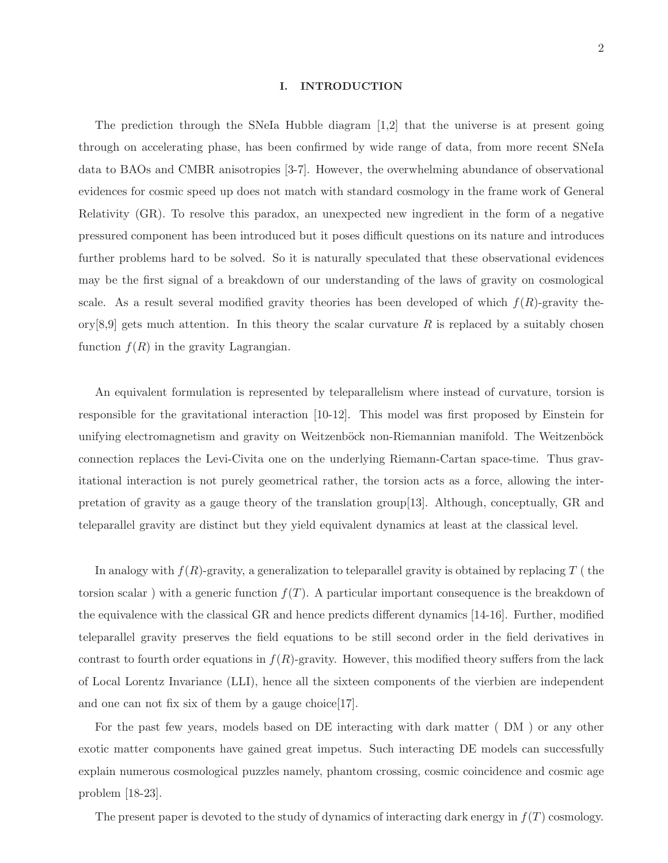#### I. INTRODUCTION

The prediction through the SNeIa Hubble diagram [1,2] that the universe is at present going through on accelerating phase, has been confirmed by wide range of data, from more recent SNeIa data to BAOs and CMBR anisotropies [3-7]. However, the overwhelming abundance of observational evidences for cosmic speed up does not match with standard cosmology in the frame work of General Relativity (GR). To resolve this paradox, an unexpected new ingredient in the form of a negative pressured component has been introduced but it poses difficult questions on its nature and introduces further problems hard to be solved. So it is naturally speculated that these observational evidences may be the first signal of a breakdown of our understanding of the laws of gravity on cosmological scale. As a result several modified gravity theories has been developed of which  $f(R)$ -gravity theory[8,9] gets much attention. In this theory the scalar curvature R is replaced by a suitably chosen function  $f(R)$  in the gravity Lagrangian.

An equivalent formulation is represented by teleparallelism where instead of curvature, torsion is responsible for the gravitational interaction [10-12]. This model was first proposed by Einstein for unifying electromagnetism and gravity on Weitzenböck non-Riemannian manifold. The Weitzenböck connection replaces the Levi-Civita one on the underlying Riemann-Cartan space-time. Thus gravitational interaction is not purely geometrical rather, the torsion acts as a force, allowing the interpretation of gravity as a gauge theory of the translation group[13]. Although, conceptually, GR and teleparallel gravity are distinct but they yield equivalent dynamics at least at the classical level.

In analogy with  $f(R)$ -gravity, a generalization to teleparallel gravity is obtained by replacing T (the torsion scalar) with a generic function  $f(T)$ . A particular important consequence is the breakdown of the equivalence with the classical GR and hence predicts different dynamics [14-16]. Further, modified teleparallel gravity preserves the field equations to be still second order in the field derivatives in contrast to fourth order equations in  $f(R)$ -gravity. However, this modified theory suffers from the lack of Local Lorentz Invariance (LLI), hence all the sixteen components of the vierbien are independent and one can not fix six of them by a gauge choice  $|17|$ .

For the past few years, models based on DE interacting with dark matter ( DM ) or any other exotic matter components have gained great impetus. Such interacting DE models can successfully explain numerous cosmological puzzles namely, phantom crossing, cosmic coincidence and cosmic age problem [18-23].

The present paper is devoted to the study of dynamics of interacting dark energy in  $f(T)$  cosmology.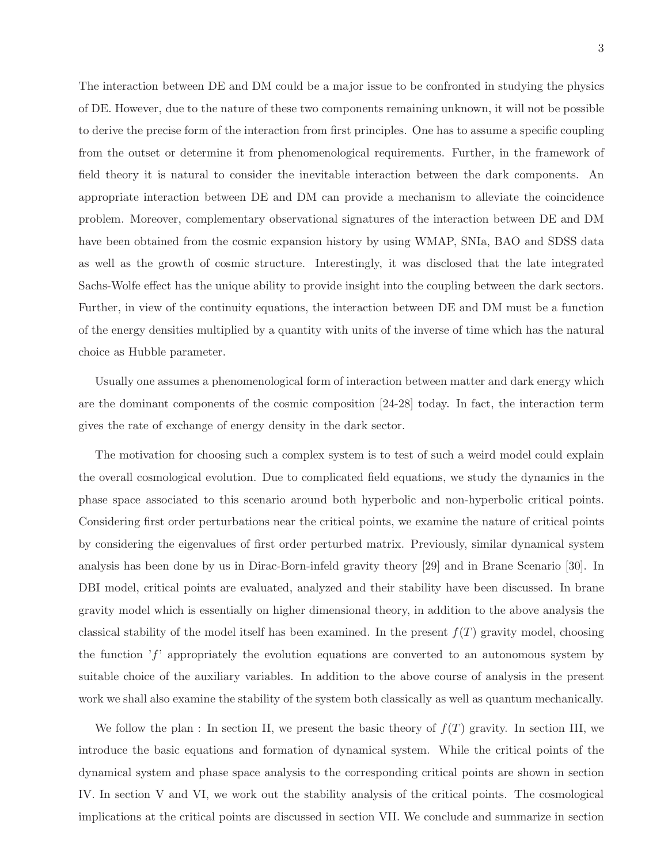The interaction between DE and DM could be a major issue to be confronted in studying the physics of DE. However, due to the nature of these two components remaining unknown, it will not be possible to derive the precise form of the interaction from first principles. One has to assume a specific coupling from the outset or determine it from phenomenological requirements. Further, in the framework of field theory it is natural to consider the inevitable interaction between the dark components. An appropriate interaction between DE and DM can provide a mechanism to alleviate the coincidence problem. Moreover, complementary observational signatures of the interaction between DE and DM have been obtained from the cosmic expansion history by using WMAP, SNIa, BAO and SDSS data as well as the growth of cosmic structure. Interestingly, it was disclosed that the late integrated Sachs-Wolfe effect has the unique ability to provide insight into the coupling between the dark sectors. Further, in view of the continuity equations, the interaction between DE and DM must be a function of the energy densities multiplied by a quantity with units of the inverse of time which has the natural choice as Hubble parameter.

Usually one assumes a phenomenological form of interaction between matter and dark energy which are the dominant components of the cosmic composition [24-28] today. In fact, the interaction term gives the rate of exchange of energy density in the dark sector.

The motivation for choosing such a complex system is to test of such a weird model could explain the overall cosmological evolution. Due to complicated field equations, we study the dynamics in the phase space associated to this scenario around both hyperbolic and non-hyperbolic critical points. Considering first order perturbations near the critical points, we examine the nature of critical points by considering the eigenvalues of first order perturbed matrix. Previously, similar dynamical system analysis has been done by us in Dirac-Born-infeld gravity theory [29] and in Brane Scenario [30]. In DBI model, critical points are evaluated, analyzed and their stability have been discussed. In brane gravity model which is essentially on higher dimensional theory, in addition to the above analysis the classical stability of the model itself has been examined. In the present  $f(T)$  gravity model, choosing the function  $'f'$  appropriately the evolution equations are converted to an autonomous system by suitable choice of the auxiliary variables. In addition to the above course of analysis in the present work we shall also examine the stability of the system both classically as well as quantum mechanically.

We follow the plan : In section II, we present the basic theory of  $f(T)$  gravity. In section III, we introduce the basic equations and formation of dynamical system. While the critical points of the dynamical system and phase space analysis to the corresponding critical points are shown in section IV. In section V and VI, we work out the stability analysis of the critical points. The cosmological implications at the critical points are discussed in section VII. We conclude and summarize in section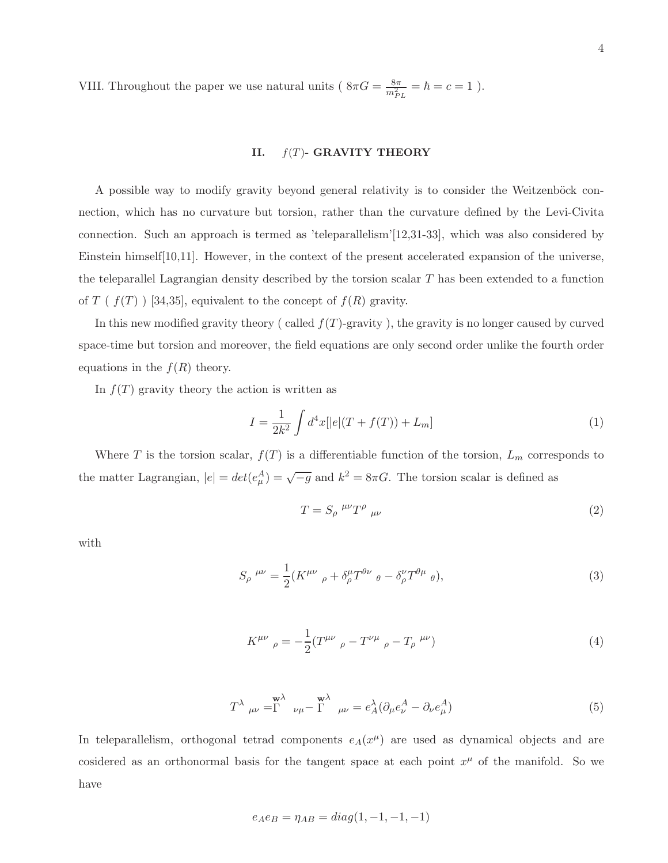VIII. Throughout the paper we use natural units ( $8\pi G = \frac{8\pi}{m_{PL}^2} = \hbar = c = 1$ ).

## II.  $f(T)$ - GRAVITY THEORY

A possible way to modify gravity beyond general relativity is to consider the Weitzenböck connection, which has no curvature but torsion, rather than the curvature defined by the Levi-Civita connection. Such an approach is termed as 'teleparallelism'[12,31-33], which was also considered by Einstein himself[10,11]. However, in the context of the present accelerated expansion of the universe, the teleparallel Lagrangian density described by the torsion scalar  $T$  has been extended to a function of  $T$  (  $f(T)$  ) [34,35], equivalent to the concept of  $f(R)$  gravity.

In this new modified gravity theory ( called  $f(T)$ -gravity), the gravity is no longer caused by curved space-time but torsion and moreover, the field equations are only second order unlike the fourth order equations in the  $f(R)$  theory.

In  $f(T)$  gravity theory the action is written as

$$
I = \frac{1}{2k^2} \int d^4x [ |e|(T + f(T)) + L_m]
$$
 (1)

Where T is the torsion scalar,  $f(T)$  is a differentiable function of the torsion,  $L_m$  corresponds to the matter Lagrangian,  $|e| = det(e_{\mu}^{A}) = \sqrt{-g}$  and  $k^{2} = 8\pi G$ . The torsion scalar is defined as

$$
T = S_{\rho}^{\ \mu\nu} T^{\rho}{}_{\mu\nu} \tag{2}
$$

with

$$
S_{\rho}^{\mu\nu} = \frac{1}{2} (K^{\mu\nu}{}_{\rho} + \delta^{\mu}_{\rho} T^{\theta\nu}{}_{\theta} - \delta^{\nu}_{\rho} T^{\theta\mu}{}_{\theta}), \tag{3}
$$

$$
K^{\mu\nu}{}_{\rho} = -\frac{1}{2} (T^{\mu\nu}{}_{\rho} - T^{\nu\mu}{}_{\rho} - T_{\rho}{}^{\mu\nu})
$$
\n(4)

$$
T^{\lambda}{}_{\mu\nu} = \stackrel{\mathbf{w}}{\Gamma}{}_{\nu\mu} - \stackrel{\mathbf{w}}{\Gamma}{}_{\mu\nu} = e^{\lambda}_A (\partial_{\mu} e^{A}_{\nu} - \partial_{\nu} e^{A}_{\mu})
$$
\n(5)

In teleparallelism, orthogonal tetrad components  $e_A(x^{\mu})$  are used as dynamical objects and are cosidered as an orthonormal basis for the tangent space at each point  $x^{\mu}$  of the manifold. So we have

$$
e_A e_B = \eta_{AB} = diag(1, -1, -1, -1)
$$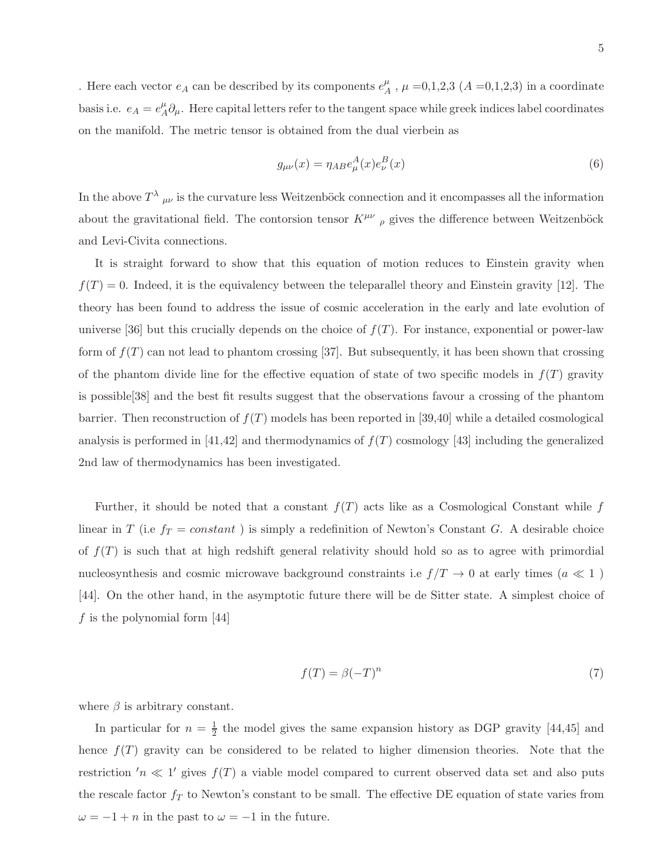. Here each vector  $e_A$  can be described by its components  $e_A^{\mu}$  $_{A}^{\mu}$ ,  $\mu$  =0,1,2,3 (A =0,1,2,3) in a coordinate basis i.e.  $e_A = e_A^{\mu}$  $^{\mu}_{A}\partial_{\mu}$ . Here capital letters refer to the tangent space while greek indices label coordinates on the manifold. The metric tensor is obtained from the dual vierbein as

$$
g_{\mu\nu}(x) = \eta_{AB} e^A_\mu(x) e^B_\nu(x) \tag{6}
$$

In the above  $T^{\lambda}$   $_{\mu\nu}$  is the curvature less Weitzenböck connection and it encompasses all the information about the gravitational field. The contorsion tensor  $K^{\mu\nu}$   $_{\rho}$  gives the difference between Weitzenböck and Levi-Civita connections.

It is straight forward to show that this equation of motion reduces to Einstein gravity when  $f(T) = 0$ . Indeed, it is the equivalency between the teleparallel theory and Einstein gravity [12]. The theory has been found to address the issue of cosmic acceleration in the early and late evolution of universe [36] but this crucially depends on the choice of  $f(T)$ . For instance, exponential or power-law form of  $f(T)$  can not lead to phantom crossing [37]. But subsequently, it has been shown that crossing of the phantom divide line for the effective equation of state of two specific models in  $f(T)$  gravity is possible[38] and the best fit results suggest that the observations favour a crossing of the phantom barrier. Then reconstruction of  $f(T)$  models has been reported in [39,40] while a detailed cosmological analysis is performed in [41,42] and thermodynamics of  $f(T)$  cosmology [43] including the generalized 2nd law of thermodynamics has been investigated.

Further, it should be noted that a constant  $f(T)$  acts like as a Cosmological Constant while f linear in T (i.e  $f_T = constant$ ) is simply a redefinition of Newton's Constant G. A desirable choice of  $f(T)$  is such that at high redshift general relativity should hold so as to agree with primordial nucleosynthesis and cosmic microwave background constraints i.e  $f/T \to 0$  at early times  $(a \ll 1)$ [44]. On the other hand, in the asymptotic future there will be de Sitter state. A simplest choice of f is the polynomial form  $[44]$ 

$$
f(T) = \beta(-T)^n \tag{7}
$$

where  $\beta$  is arbitrary constant.

In particular for  $n=\frac{1}{2}$  $\frac{1}{2}$  the model gives the same expansion history as DGP gravity [44,45] and hence  $f(T)$  gravity can be considered to be related to higher dimension theories. Note that the restriction  $'n \ll 1'$  gives  $f(T)$  a viable model compared to current observed data set and also puts the rescale factor  $f_T$  to Newton's constant to be small. The effective DE equation of state varies from  $\omega = -1 + n$  in the past to  $\omega = -1$  in the future.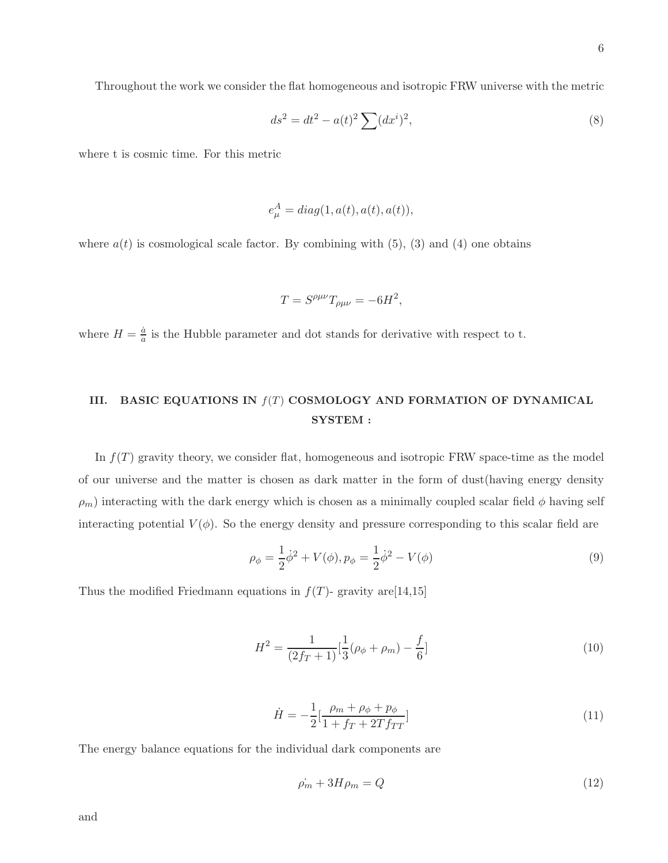Throughout the work we consider the flat homogeneous and isotropic FRW universe with the metric

$$
ds^{2} = dt^{2} - a(t)^{2} \sum (dx^{i})^{2},
$$
\n(8)

where t is cosmic time. For this metric

$$
e^A_\mu = diag(1, a(t), a(t), a(t)),
$$

where  $a(t)$  is cosmological scale factor. By combining with (5), (3) and (4) one obtains

$$
T = S^{\rho\mu\nu}T_{\rho\mu\nu} = -6H^2,
$$

where  $H = \frac{\dot{a}}{a}$  is the Hubble parameter and dot stands for derivative with respect to t.

# III. BASIC EQUATIONS IN  $f(T)$  COSMOLOGY AND FORMATION OF DYNAMICAL SYSTEM :

In  $f(T)$  gravity theory, we consider flat, homogeneous and isotropic FRW space-time as the model of our universe and the matter is chosen as dark matter in the form of dust(having energy density  $\rho_m$ ) interacting with the dark energy which is chosen as a minimally coupled scalar field  $\phi$  having self interacting potential  $V(\phi)$ . So the energy density and pressure corresponding to this scalar field are

$$
\rho_{\phi} = \frac{1}{2}\dot{\phi}^{2} + V(\phi), p_{\phi} = \frac{1}{2}\dot{\phi}^{2} - V(\phi)
$$
\n(9)

Thus the modified Friedmann equations in  $f(T)$ - gravity are [14,15]

$$
H^{2} = \frac{1}{(2f_{T} + 1)} \left[\frac{1}{3}(\rho_{\phi} + \rho_{m}) - \frac{f}{6}\right]
$$
\n(10)

$$
\dot{H} = -\frac{1}{2} \left[ \frac{\rho_m + \rho_\phi + p_\phi}{1 + f_T + 2T f_{TT}} \right] \tag{11}
$$

The energy balance equations for the individual dark components are

$$
\dot{\rho_m} + 3H\rho_m = Q \tag{12}
$$

and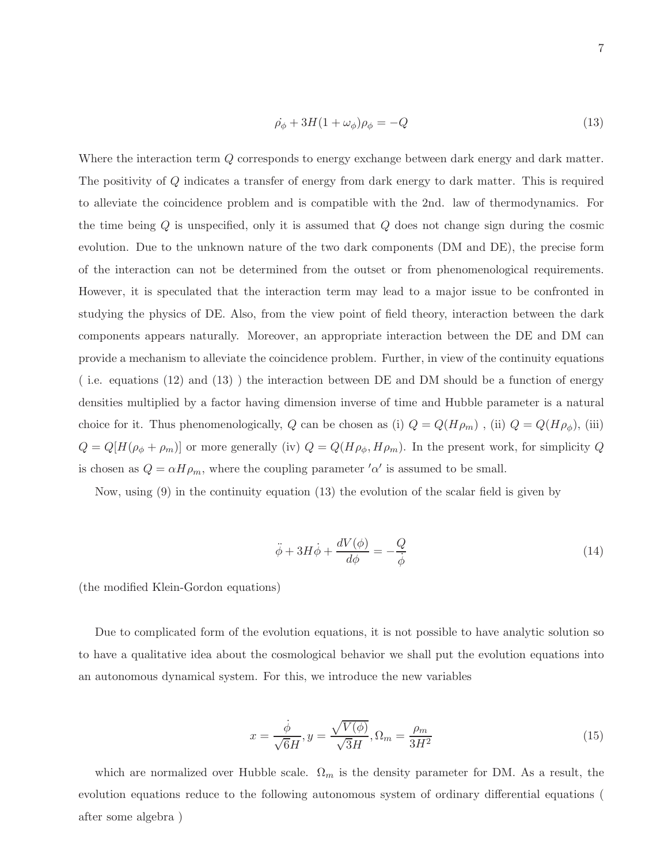$$
\dot{\rho}_{\phi} + 3H(1 + \omega_{\phi})\rho_{\phi} = -Q \tag{13}
$$

Where the interaction term Q corresponds to energy exchange between dark energy and dark matter. The positivity of Q indicates a transfer of energy from dark energy to dark matter. This is required to alleviate the coincidence problem and is compatible with the 2nd. law of thermodynamics. For the time being  $Q$  is unspecified, only it is assumed that  $Q$  does not change sign during the cosmic evolution. Due to the unknown nature of the two dark components (DM and DE), the precise form of the interaction can not be determined from the outset or from phenomenological requirements. However, it is speculated that the interaction term may lead to a major issue to be confronted in studying the physics of DE. Also, from the view point of field theory, interaction between the dark components appears naturally. Moreover, an appropriate interaction between the DE and DM can provide a mechanism to alleviate the coincidence problem. Further, in view of the continuity equations ( i.e. equations (12) and (13) ) the interaction between DE and DM should be a function of energy densities multiplied by a factor having dimension inverse of time and Hubble parameter is a natural choice for it. Thus phenomenologically, Q can be chosen as (i)  $Q = Q(H\rho_m)$ , (ii)  $Q = Q(H\rho_{\phi})$ , (iii)  $Q = Q[H(\rho_{\phi} + \rho_m)]$  or more generally (iv)  $Q = Q(H\rho_{\phi}, H\rho_m)$ . In the present work, for simplicity Q is chosen as  $Q = \alpha H \rho_m$ , where the coupling parameter ' $\alpha'$  is assumed to be small.

Now, using (9) in the continuity equation (13) the evolution of the scalar field is given by

$$
\ddot{\phi} + 3H\dot{\phi} + \frac{dV(\phi)}{d\phi} = -\frac{Q}{\dot{\phi}}\tag{14}
$$

(the modified Klein-Gordon equations)

Due to complicated form of the evolution equations, it is not possible to have analytic solution so to have a qualitative idea about the cosmological behavior we shall put the evolution equations into an autonomous dynamical system. For this, we introduce the new variables

$$
x = \frac{\dot{\phi}}{\sqrt{6}H}, y = \frac{\sqrt{V(\phi)}}{\sqrt{3}H}, \Omega_m = \frac{\rho_m}{3H^2}
$$
\n(15)

which are normalized over Hubble scale.  $\Omega_m$  is the density parameter for DM. As a result, the evolution equations reduce to the following autonomous system of ordinary differential equations ( after some algebra )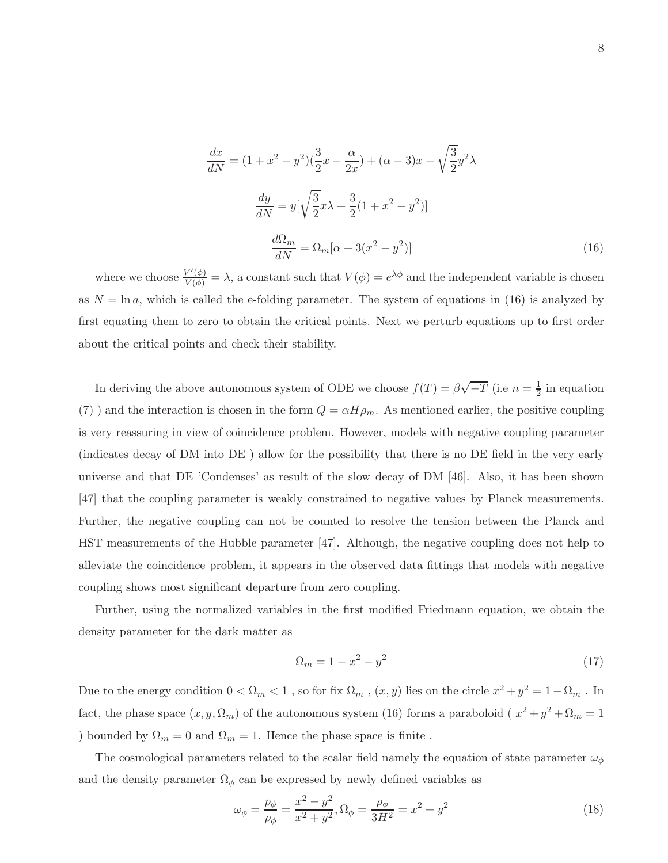$$
\frac{dx}{dN} = (1 + x^2 - y^2)(\frac{3}{2}x - \frac{\alpha}{2x}) + (\alpha - 3)x - \sqrt{\frac{3}{2}}y^2\lambda
$$

$$
\frac{dy}{dN} = y[\sqrt{\frac{3}{2}}x\lambda + \frac{3}{2}(1 + x^2 - y^2)]
$$

$$
\frac{d\Omega_m}{dN} = \Omega_m[\alpha + 3(x^2 - y^2)]
$$
(16)

where we choose  $\frac{V'(\phi)}{V(\phi)} = \lambda$ , a constant such that  $V(\phi) = e^{\lambda \phi}$  and the independent variable is chosen as  $N = \ln a$ , which is called the e-folding parameter. The system of equations in (16) is analyzed by first equating them to zero to obtain the critical points. Next we perturb equations up to first order about the critical points and check their stability.

In deriving the above autonomous system of ODE we choose  $f(T) = \beta \sqrt{-T}$  (i.e  $n = \frac{1}{2}$ )  $\frac{1}{2}$  in equation (7) and the interaction is chosen in the form  $Q = \alpha H \rho_m$ . As mentioned earlier, the positive coupling is very reassuring in view of coincidence problem. However, models with negative coupling parameter (indicates decay of DM into DE ) allow for the possibility that there is no DE field in the very early universe and that DE 'Condenses' as result of the slow decay of DM [46]. Also, it has been shown [47] that the coupling parameter is weakly constrained to negative values by Planck measurements. Further, the negative coupling can not be counted to resolve the tension between the Planck and HST measurements of the Hubble parameter [47]. Although, the negative coupling does not help to alleviate the coincidence problem, it appears in the observed data fittings that models with negative coupling shows most significant departure from zero coupling.

Further, using the normalized variables in the first modified Friedmann equation, we obtain the density parameter for the dark matter as

$$
\Omega_m = 1 - x^2 - y^2 \tag{17}
$$

Due to the energy condition  $0 < \Omega_m < 1$ , so for fix  $\Omega_m$ ,  $(x, y)$  lies on the circle  $x^2 + y^2 = 1 - \Omega_m$ . In fact, the phase space  $(x, y, \Omega_m)$  of the autonomous system (16) forms a paraboloid ( $x^2 + y^2 + \Omega_m = 1$ ) bounded by  $\Omega_m = 0$  and  $\Omega_m = 1$ . Hence the phase space is finite.

The cosmological parameters related to the scalar field namely the equation of state parameter  $\omega_{\phi}$ and the density parameter  $\Omega_{\phi}$  can be expressed by newly defined variables as

$$
\omega_{\phi} = \frac{p_{\phi}}{\rho_{\phi}} = \frac{x^2 - y^2}{x^2 + y^2}, \Omega_{\phi} = \frac{\rho_{\phi}}{3H^2} = x^2 + y^2
$$
\n(18)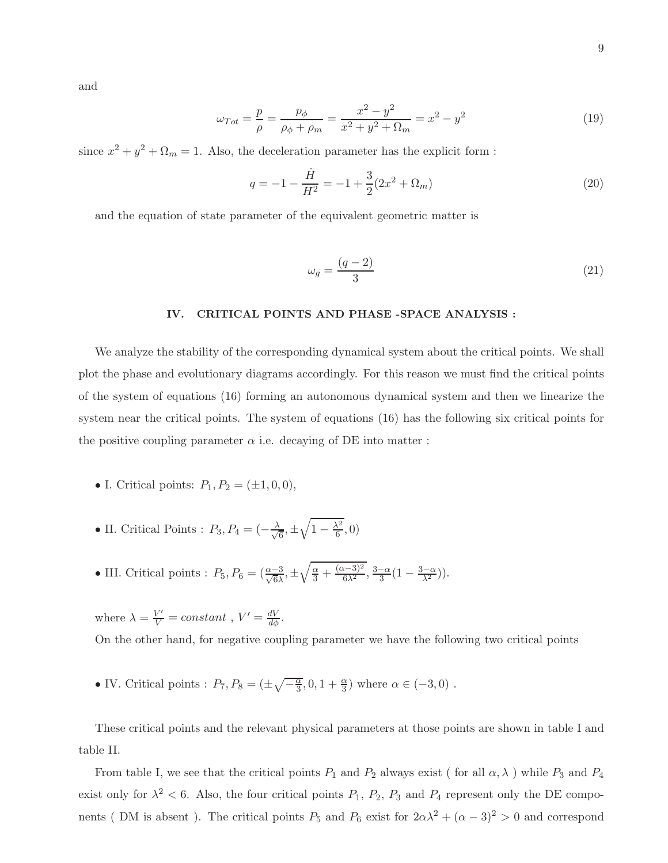and

$$
\omega_{Tot} = \frac{p}{\rho} = \frac{p_{\phi}}{\rho_{\phi} + \rho_m} = \frac{x^2 - y^2}{x^2 + y^2 + \Omega_m} = x^2 - y^2 \tag{19}
$$

since  $x^2 + y^2 + \Omega_m = 1$ . Also, the deceleration parameter has the explicit form :

$$
q = -1 - \frac{\dot{H}}{H^2} = -1 + \frac{3}{2}(2x^2 + \Omega_m)
$$
\n(20)

and the equation of state parameter of the equivalent geometric matter is

$$
\omega_g = \frac{(q-2)}{3} \tag{21}
$$

## IV. CRITICAL POINTS AND PHASE -SPACE ANALYSIS :

We analyze the stability of the corresponding dynamical system about the critical points. We shall plot the phase and evolutionary diagrams accordingly. For this reason we must find the critical points of the system of equations (16) forming an autonomous dynamical system and then we linearize the system near the critical points. The system of equations (16) has the following six critical points for the positive coupling parameter  $\alpha$  i.e. decaying of DE into matter :

- I. Critical points:  $P_1, P_2 = (\pm 1, 0, 0),$
- II. Critical Points :  $P_3, P_4 = \left(-\frac{\lambda}{\sqrt{4}}\right)$  $\frac{1}{6}, \pm \sqrt{1 - \frac{\lambda^2}{6}}$  $\frac{\sqrt{2}}{6}, 0)$
- III. Critical points :  $P_5, P_6 = \left(\frac{\alpha 3}{\sqrt{6}\lambda}, \pm \sqrt{\frac{\alpha}{3} + \frac{(\alpha 3)^2}{6\lambda^2}}, \frac{3 \alpha}{3}(1 \frac{3 \alpha}{\lambda^2})\right).$

where  $\lambda = \frac{V'}{V} = constant$ ,  $V' = \frac{dV}{d\phi}$ .

On the other hand, for negative coupling parameter we have the following two critical points

• IV. Critical points :  $P_7, P_8 = (\pm \sqrt{-\frac{\alpha}{3}})$  $\overline{\frac{\alpha}{3}}, 0, 1 + \frac{\alpha}{3}$  where  $\alpha \in (-3, 0)$ .

These critical points and the relevant physical parameters at those points are shown in table I and table II.

From table I, we see that the critical points  $P_1$  and  $P_2$  always exist ( for all  $\alpha, \lambda$  ) while  $P_3$  and  $P_4$ exist only for  $\lambda^2$  < 6. Also, the four critical points  $P_1$ ,  $P_2$ ,  $P_3$  and  $P_4$  represent only the DE components (DM is absent). The critical points  $P_5$  and  $P_6$  exist for  $2\alpha\lambda^2 + (\alpha - 3)^2 > 0$  and correspond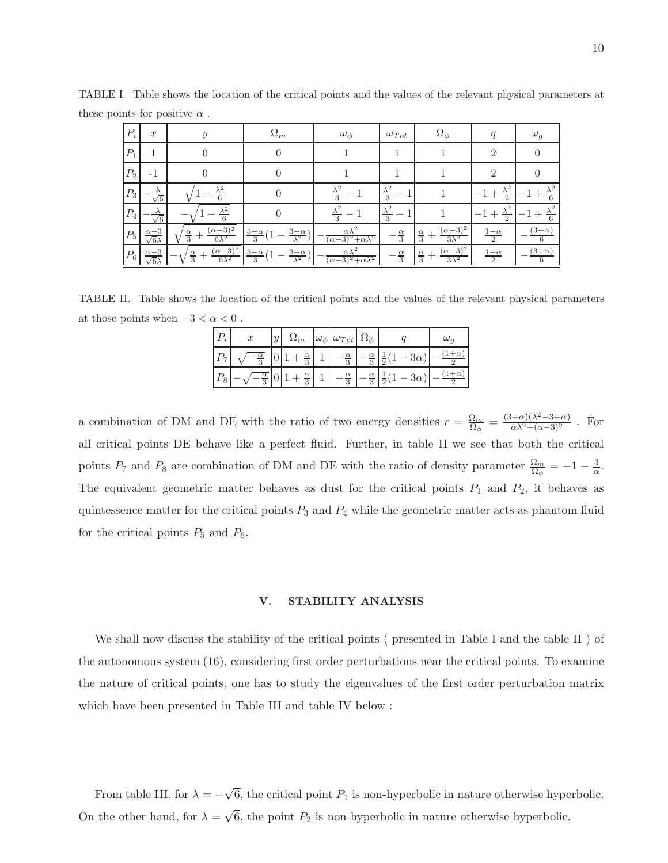| $P_i$           | $\boldsymbol{x}$                   | $\mathcal{Y}$                                           | $\Omega_m$                                                                | $\omega_{\phi}$                                          | $\omega_{Tot}$             | $\Omega_{\phi}$                                        | q                             | $\omega_g$                      |
|-----------------|------------------------------------|---------------------------------------------------------|---------------------------------------------------------------------------|----------------------------------------------------------|----------------------------|--------------------------------------------------------|-------------------------------|---------------------------------|
| $\mathcal{P}_1$ |                                    |                                                         |                                                                           |                                                          |                            |                                                        | $\mathcal{D}$                 |                                 |
| $\mathcal{P}_2$ | $-1$                               |                                                         |                                                                           |                                                          |                            |                                                        | $\mathfrak{D}$                |                                 |
| $\mathcal{P}_3$ | $\frac{\lambda}{\sqrt{6}}$         | $\lambda^2$                                             |                                                                           | $\overline{3}$                                           | $\frac{\lambda^2}{3}$      |                                                        | $\lambda^2$<br>$\Omega$       |                                 |
| $\mathcal{P}_4$ | $\frac{\lambda}{\sqrt{6}}$         | $\lambda^2$<br>$6\overline{6}$                          |                                                                           | $\overline{\mathcal{E}}$                                 | $\frac{\lambda^2}{3}$      |                                                        | $\lambda^2$<br>$\overline{2}$ |                                 |
| $P_\mathrm{5}$  | $\frac{\alpha-3}{\sqrt{6}\lambda}$ | $(\alpha - 3)^2$<br>$\frac{\alpha}{3}$<br>$6\lambda^2$  | $\frac{3-\alpha}{\lambda^2}$<br>$3-\alpha$<br>3                           | $\alpha\lambda^2$<br>$(\alpha - 3)^2 + \alpha \lambda^2$ | $\frac{\alpha}{3}$         | $(\alpha - 3)^2$<br>$\frac{\alpha}{3}$<br>$3\lambda^2$ | $\frac{1-\alpha}{2}$          | $(3+\alpha)$<br>6               |
| $\mathcal{P}_6$ | $\frac{\alpha-3}{\sqrt{6}\lambda}$ | $\frac{(\alpha-3)^2}{6\lambda^2}$<br>$\frac{\alpha}{3}$ | $\frac{3-\alpha}{2}$ (1<br>$\frac{3-\alpha}{\lambda^2}$<br>$\overline{3}$ | $\alpha\lambda^2$<br>$(\alpha-3)^2 + \alpha\lambda^2$    | $\alpha$<br>$\overline{3}$ | $(\alpha - 3)^2$<br>$\frac{\alpha}{3}$<br>$3\lambda^2$ | $rac{1-\alpha}{2}$            | $(3+\alpha)$<br>$6\overline{6}$ |

TABLE I. Table shows the location of the critical points and the values of the relevant physical parameters at those points for positive  $\alpha$ .

TABLE II. Table shows the location of the critical points and the values of the relevant physical parameters at those points when  $-3 < \alpha < 0$ .

| $\boldsymbol{x}$ | $\Omega_m$                 | $ \omega_{\phi}  \omega_{Tot}   \Omega_{\phi} $ |                            |                                                                                 |  |
|------------------|----------------------------|-------------------------------------------------|----------------------------|---------------------------------------------------------------------------------|--|
|                  | $\alpha$<br>3              | $-\frac{\alpha}{3}$                             | $\alpha$<br>$\overline{3}$ | $3\alpha$<br>$\overline{2}$                                                     |  |
|                  | $\alpha$<br>$\overline{3}$ | $\alpha$                                        | $\alpha$                   | $^{\prime}$ (1 – $3\alpha$ ).<br>$-\frac{1}{3}$ $-\frac{2}{3}$ $\frac{1}{2}(1)$ |  |

a combination of DM and DE with the ratio of two energy densities  $r = \frac{\Omega_m}{\Omega_m}$  $\frac{\Omega_m}{\Omega_\phi} = \frac{(3-\alpha)(\lambda^2 - 3+\alpha)}{\alpha\lambda^2 + (\alpha-3)^2}$ . For all critical points DE behave like a perfect fluid. Further, in table II we see that both the critical points  $P_7$  and  $P_8$  are combination of DM and DE with the ratio of density parameter  $\frac{\Omega_m}{\Omega_\phi} = -1 - \frac{3}{\alpha}$  $\frac{3}{\alpha}$ . The equivalent geometric matter behaves as dust for the critical points  $P_1$  and  $P_2$ , it behaves as quintessence matter for the critical points  $P_3$  and  $P_4$  while the geometric matter acts as phantom fluid for the critical points  $P_5$  and  $P_6$ .

## V. STABILITY ANALYSIS

We shall now discuss the stability of the critical points ( presented in Table I and the table II ) of the autonomous system (16), considering first order perturbations near the critical points. To examine the nature of critical points, one has to study the eigenvalues of the first order perturbation matrix which have been presented in Table III and table IV below :

From table III, for  $\lambda = -\sqrt{6}$ , the critical point  $P_1$  is non-hyperbolic in nature otherwise hyperbolic. On the other hand, for  $\lambda = \sqrt{6}$ , the point  $P_2$  is non-hyperbolic in nature otherwise hyperbolic.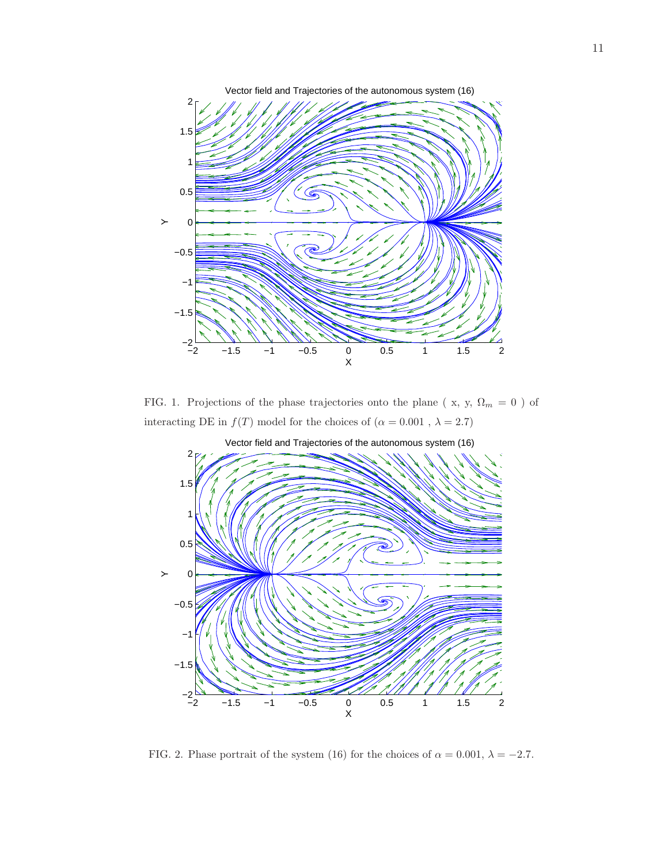

FIG. 1. Projections of the phase trajectories onto the plane ( x, y,  $\Omega_m\,=\,0$  ) of interacting DE in  $f(T)$  model for the choices of  $(\alpha=0.001$  ,  $\lambda=2.7)$ 



FIG. 2. Phase portrait of the system (16) for the choices of  $\alpha = 0.001$ ,  $\lambda = -2.7$ .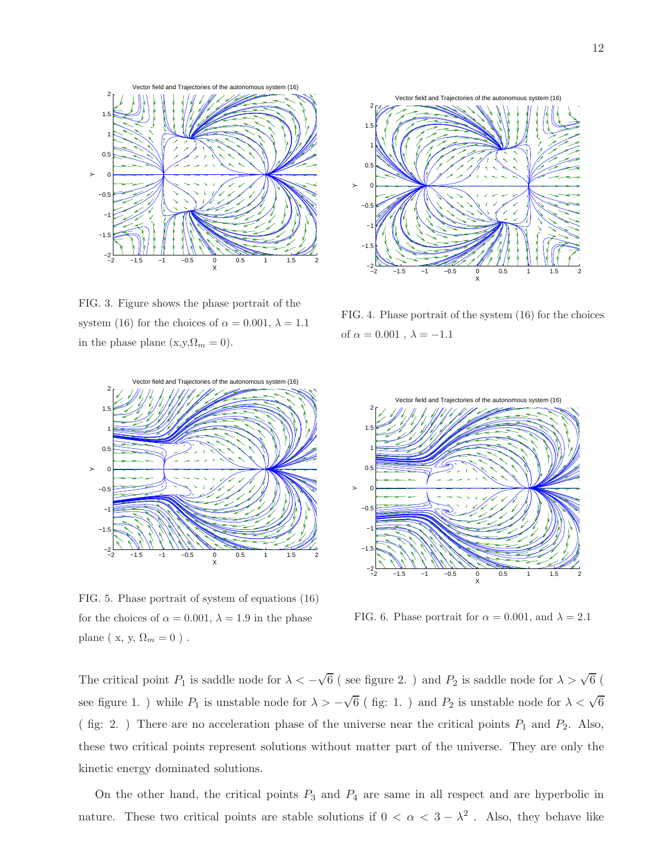

FIG. 3. Figure shows the phase portrait of the system (16) for the choices of  $\alpha = 0.001, \lambda = 1.1$ in the phase plane (x,y, $\Omega_m = 0$ ).



FIG. 4. Phase portrait of the system (16) for the choices of  $\alpha = 0.001$ ,  $\lambda = -1.1$ 



FIG. 5. Phase portrait of system of equations (16) for the choices of  $\alpha = 0.001$ ,  $\lambda = 1.9$  in the phase plane ( x, y,  $\Omega_m=0$  ) .



FIG. 6. Phase portrait for  $\alpha = 0.001$ , and  $\lambda = 2.1$ 

The critical point  $P_1$  is saddle node for  $\lambda < -\sqrt{6}$  (see figure 2.) and  $P_2$  is saddle node for  $\lambda > \sqrt{6}$  ( see figure 1. ) while  $P_1$  is unstable node for  $\lambda > -\sqrt{6}$  (fig: 1.) and  $P_2$  is unstable node for  $\lambda < \sqrt{6}$ ( fig: 2. ) There are no acceleration phase of the universe near the critical points  $P_1$  and  $P_2$ . Also, these two critical points represent solutions without matter part of the universe. They are only the kinetic energy dominated solutions.

On the other hand, the critical points  $P_3$  and  $P_4$  are same in all respect and are hyperbolic in nature. These two critical points are stable solutions if  $0 < \alpha < 3 - \lambda^2$ . Also, they behave like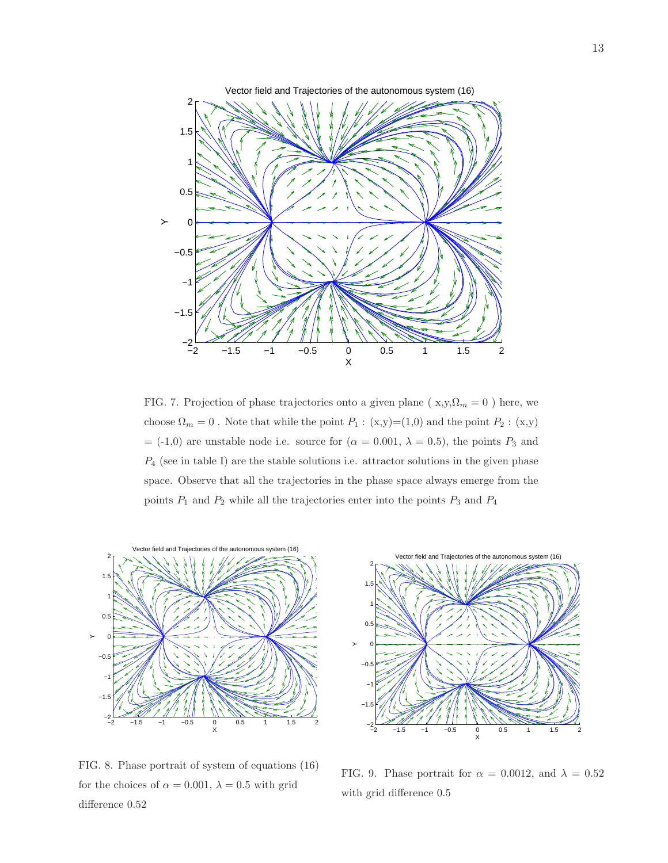

FIG. 7. Projection of phase trajectories onto a given plane ( $x,y,\Omega_m = 0$ ) here, we choose  $\Omega_m = 0$  . Note that while the point  $P_1$  : (x,y)=(1,0) and the point  $P_2$  : (x,y)  $=$  (-1,0) are unstable node i.e. source for ( $\alpha = 0.001, \lambda = 0.5$ ), the points  $P_3$  and  $P_4$  (see in table I) are the stable solutions i.e. attractor solutions in the given phase space. Observe that all the trajectories in the phase space always emerge from the points  $P_1$  and  $P_2$  while all the trajectories enter into the points  $P_3$  and  $P_4$ 



FIG. 8. Phase portrait of system of equations (16) for the choices of  $\alpha = 0.001$ ,  $\lambda = 0.5$  with grid difference 0.52



FIG. 9. Phase portrait for  $\alpha = 0.0012$ , and  $\lambda = 0.52$ with grid difference 0.5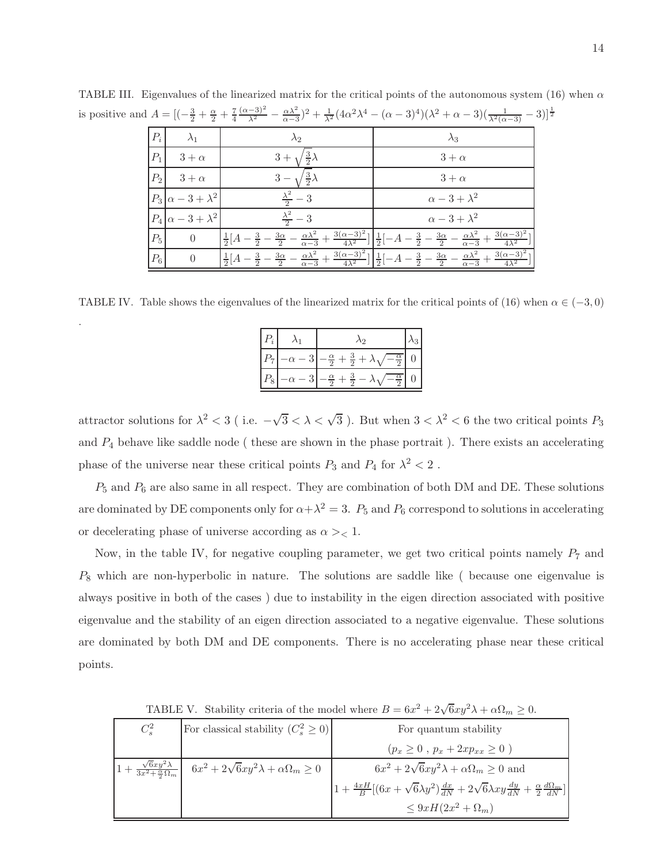|       | $dA = [(-\frac{1}{2} + \frac{1}{2} + \frac{1}{4} + \frac{1}{\lambda^2}) - \frac{1}{\alpha - 3}) + \frac{1}{\lambda^2} (4\alpha - \lambda) - (\alpha - 3)^2] (\lambda^2 + \alpha - 3) (\frac{1}{\lambda^2 (\alpha - 3)} - 3)$ |                                                      |                                                                                                                                                                                                                                  |  |  |  |  |  |  |  |
|-------|------------------------------------------------------------------------------------------------------------------------------------------------------------------------------------------------------------------------------|------------------------------------------------------|----------------------------------------------------------------------------------------------------------------------------------------------------------------------------------------------------------------------------------|--|--|--|--|--|--|--|
| $P_i$ | $\lambda_1$                                                                                                                                                                                                                  | $\lambda_2$                                          | $\lambda_3$                                                                                                                                                                                                                      |  |  |  |  |  |  |  |
| $P_1$ | $3 + \alpha$                                                                                                                                                                                                                 | $3+$                                                 | $3 + \alpha$                                                                                                                                                                                                                     |  |  |  |  |  |  |  |
| $P_2$ | $3 + \alpha$                                                                                                                                                                                                                 |                                                      | $3 + \alpha$                                                                                                                                                                                                                     |  |  |  |  |  |  |  |
|       | $P_3 \alpha-3+\lambda^2$                                                                                                                                                                                                     | $\frac{\lambda^2}{2}-3$                              | $\alpha-3+\lambda^2$                                                                                                                                                                                                             |  |  |  |  |  |  |  |
|       | $P_4 \alpha-3+\lambda^2$                                                                                                                                                                                                     | $\frac{\lambda^2}{2} - 3$                            | $\alpha-3+\lambda^2$                                                                                                                                                                                                             |  |  |  |  |  |  |  |
| $P_5$ | $\theta$                                                                                                                                                                                                                     | $-\frac{3}{2}-\frac{3\alpha}{2}$<br>$\frac{1}{2}[A]$ | $-\frac{\alpha\lambda^2}{\alpha-3}+\frac{3(\alpha-3)^2}{4\lambda^2}\Big \Big \frac{1}{2}\Big[-A-\frac{3}{2}-\frac{3\alpha}{2}-\frac{\alpha\lambda^2}{\alpha-3}+\frac{3(\alpha-3)^2}{4\lambda^2}\Big]$                            |  |  |  |  |  |  |  |
| $P_6$ | $\theta$                                                                                                                                                                                                                     | $\frac{1}{2}[A]$                                     | $\frac{3}{2}-\frac{3\alpha}{2}-\frac{\alpha \lambda ^2}{\alpha -3}+\frac{3(\alpha -3)^2}{4\lambda ^2}]\Big[\frac{1}{2}[-A-\frac{3}{2}-\frac{3\alpha}{2}-\frac{\alpha \lambda ^2}{\alpha -3}+\frac{3(\alpha -3)^2}{4\lambda ^2}]$ |  |  |  |  |  |  |  |

TABLE III. Eigenvalues of the linearized matrix for the critical points of the autonomous system (16) when  $\alpha$ is positive and  $A = \left[ \left( -\frac{3}{2} + \frac{\alpha}{2} + \frac{7}{4} \frac{(\alpha - 3)^2}{\lambda^2} - \frac{\alpha \lambda^2}{\alpha - 3} \right) \right]$  $\frac{\alpha\lambda^2}{\alpha-3}$ )<sup>2</sup> +  $\frac{1}{\lambda^2}$ (4 $\alpha^2\lambda^4$  – ( $\alpha$  – 3)<sup>4</sup>)( $\lambda^2$  +  $\alpha$  – 3)( $\frac{1}{\lambda^2(\alpha-3)}$  – 3)]<sup>1</sup><sup>2</sup>  $3)$ ] $\frac{1}{2}$ 

TABLE IV. Table shows the eigenvalues of the linearized matrix for the critical points of (16) when  $\alpha \in (-3,0)$ 

.

| $\epsilon$ |   | $\Delta$ 2                                                                |  |
|------------|---|---------------------------------------------------------------------------|--|
| Р.,        | ച | $-\frac{\alpha}{2}+\frac{3}{2}+\lambda$<br>$\sqrt{-\frac{\alpha}{2}}$     |  |
| $P_8$      |   | $-\frac{\alpha}{2}$<br>$-\frac{\alpha}{2}+$ $\dot{\ }$<br>$\frac{9}{2}$ – |  |

attractor solutions for  $\lambda^2 < 3$  (i.e.  $-\sqrt{3} < \lambda < \sqrt{3}$ ). But when  $3 < \lambda^2 < 6$  the two critical points  $P_3$ and  $P_4$  behave like saddle node ( these are shown in the phase portrait). There exists an accelerating phase of the universe near these critical points  $P_3$  and  $P_4$  for  $\lambda^2 < 2$ .

 $P_5$  and  $P_6$  are also same in all respect. They are combination of both DM and DE. These solutions are dominated by DE components only for  $\alpha + \lambda^2 = 3$ .  $P_5$  and  $P_6$  correspond to solutions in accelerating or decelerating phase of universe according as  $\alpha$  > < 1.

Now, in the table IV, for negative coupling parameter, we get two critical points namely  $P_7$  and P<sup>8</sup> which are non-hyperbolic in nature. The solutions are saddle like ( because one eigenvalue is always positive in both of the cases ) due to instability in the eigen direction associated with positive eigenvalue and the stability of an eigen direction associated to a negative eigenvalue. These solutions are dominated by both DM and DE components. There is no accelerating phase near these critical points.

|                                                                            | <b>EXECUTE:</b> $\theta$ . Sumplies through the divided where $D = 0\omega + 2\gamma \cos \theta$ as $\theta$ and $\theta$ . |                                                                                                                                |  |  |  |  |  |
|----------------------------------------------------------------------------|------------------------------------------------------------------------------------------------------------------------------|--------------------------------------------------------------------------------------------------------------------------------|--|--|--|--|--|
| $C_s^2$                                                                    | For classical stability $(C_s^2 \geq 0)$                                                                                     | For quantum stability                                                                                                          |  |  |  |  |  |
|                                                                            |                                                                                                                              | $(p_x \geq 0, p_x + 2xp_{xx} \geq 0)$                                                                                          |  |  |  |  |  |
| $\left 1+\frac{\sqrt{6}xy^2\lambda}{3x^2+\frac{\alpha}{2}\Omega_m}\right $ | $6x^2 + 2\sqrt{6}xy^2\lambda + \alpha\Omega_m \ge 0$                                                                         | $6x^2 + 2\sqrt{6}xy^2\lambda + \alpha\Omega_m \geq 0$ and                                                                      |  |  |  |  |  |
|                                                                            |                                                                                                                              | $1+\frac{4xH}{B}[(6x+\sqrt{6}\lambda y^2)\frac{dx}{dN}+2\sqrt{6}\lambda xy\frac{dy}{dN}+\frac{\alpha}{2}\frac{d\Omega_m}{dN}]$ |  |  |  |  |  |
|                                                                            |                                                                                                                              | $\leq 9xH(2x^2+\Omega_m)$                                                                                                      |  |  |  |  |  |

TABLE V. Stability criteria of the model where  $B = 6x^2 + 2\sqrt{6}xy^2\lambda + \alpha\Omega_m \ge 0$ .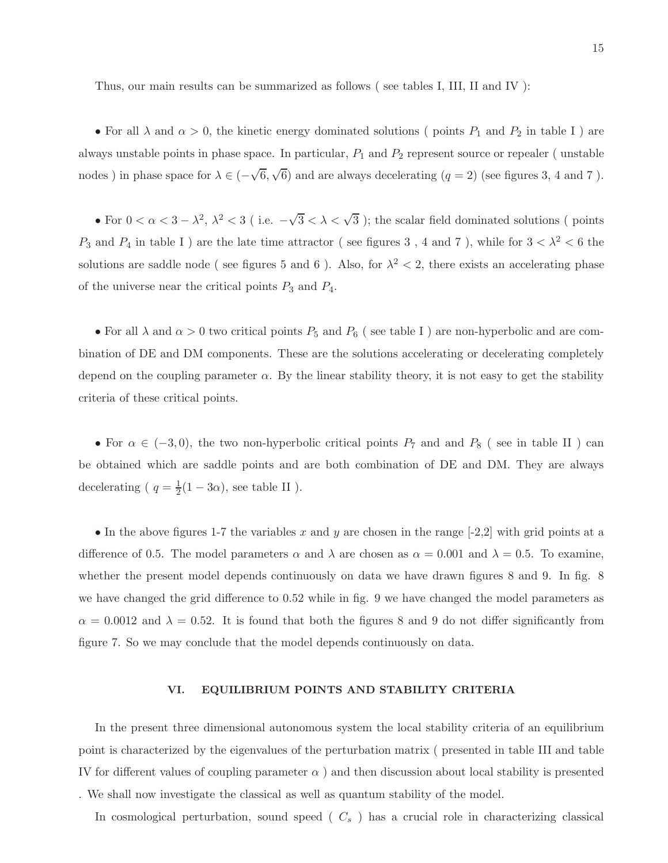Thus, our main results can be summarized as follows ( see tables I, III, II and IV ):

• For all  $\lambda$  and  $\alpha > 0$ , the kinetic energy dominated solutions ( points  $P_1$  and  $P_2$  in table I ) are always unstable points in phase space. In particular,  $P_1$  and  $P_2$  represent source or repealer ( unstable nodes) in phase space for  $\lambda \in (-\sqrt{6}, \sqrt{6})$  and are always decelerating  $(q = 2)$  (see figures 3, 4 and 7).

• For  $0 < \alpha < 3 - \lambda^2$ ,  $\lambda^2 < 3$  (i.e.  $-\sqrt{3} < \lambda < \sqrt{3}$ ); the scalar field dominated solutions (points  $P_3$  and  $P_4$  in table I ) are the late time attractor ( see figures 3, 4 and 7), while for  $3 < \lambda^2 < 6$  the solutions are saddle node (see figures 5 and 6). Also, for  $\lambda^2 < 2$ , there exists an accelerating phase of the universe near the critical points  $P_3$  and  $P_4$ .

• For all  $\lambda$  and  $\alpha > 0$  two critical points  $P_5$  and  $P_6$  (see table I) are non-hyperbolic and are combination of DE and DM components. These are the solutions accelerating or decelerating completely depend on the coupling parameter  $\alpha$ . By the linear stability theory, it is not easy to get the stability criteria of these critical points.

• For  $\alpha \in (-3,0)$ , the two non-hyperbolic critical points  $P_7$  and and  $P_8$  (see in table II) can be obtained which are saddle points and are both combination of DE and DM. They are always decelerating ( $q = \frac{1}{2}$  $\frac{1}{2}(1-3\alpha)$ , see table II ).

• In the above figures 1-7 the variables x and y are chosen in the range  $[-2,2]$  with grid points at a difference of 0.5. The model parameters  $\alpha$  and  $\lambda$  are chosen as  $\alpha = 0.001$  and  $\lambda = 0.5$ . To examine, whether the present model depends continuously on data we have drawn figures 8 and 9. In fig. 8 we have changed the grid difference to 0.52 while in fig. 9 we have changed the model parameters as  $\alpha = 0.0012$  and  $\lambda = 0.52$ . It is found that both the figures 8 and 9 do not differ significantly from figure 7. So we may conclude that the model depends continuously on data.

## VI. EQUILIBRIUM POINTS AND STABILITY CRITERIA

In the present three dimensional autonomous system the local stability criteria of an equilibrium point is characterized by the eigenvalues of the perturbation matrix ( presented in table III and table IV for different values of coupling parameter  $\alpha$ ) and then discussion about local stability is presented . We shall now investigate the classical as well as quantum stability of the model.

In cosmological perturbation, sound speed  $(C_s)$  has a crucial role in characterizing classical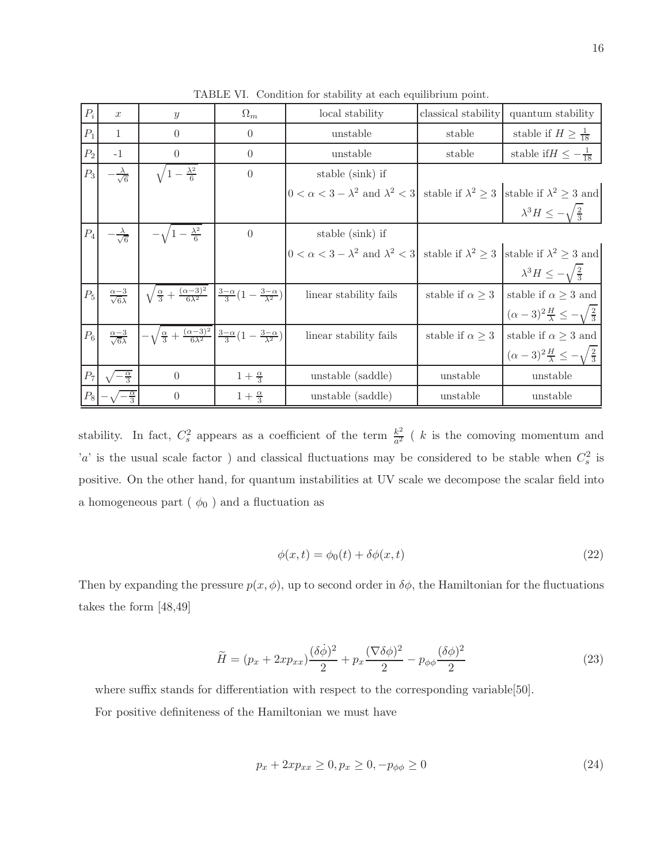| $P_i$           | $\boldsymbol{x}$                   | $\boldsymbol{y}$                                                                                                                   | $\Omega_m$           | local stability                                                                                                 | classical stability       | quantum stability                                           |
|-----------------|------------------------------------|------------------------------------------------------------------------------------------------------------------------------------|----------------------|-----------------------------------------------------------------------------------------------------------------|---------------------------|-------------------------------------------------------------|
| $P_1$           | $\mathbf{1}$                       | $\Omega$                                                                                                                           | $\overline{0}$       | unstable                                                                                                        | stable                    | stable if $H \geq \frac{1}{18}$                             |
| $P_2$           | $-1$                               | $\theta$                                                                                                                           | $\overline{0}$       | unstable                                                                                                        | stable                    | stable if $H \leq -\frac{1}{18}$                            |
| $P_3$           | $\frac{\lambda}{\sqrt{6}}$         | $1-\frac{\lambda^2}{6}$                                                                                                            | $\overline{0}$       | stable (sink) if                                                                                                |                           |                                                             |
|                 |                                    |                                                                                                                                    |                      | $ 0 < \alpha < 3 - \lambda^2$ and $\lambda^2 < 3$ stable if $\lambda^2 \geq 3$ stable if $\lambda^2 \geq 3$ and |                           |                                                             |
|                 |                                    |                                                                                                                                    |                      |                                                                                                                 |                           | $\lambda^3 H \leq -\sqrt{\frac{2}{3}}$                      |
| $\mathcal{P}_4$ | $-\frac{\lambda}{\sqrt{6}}$        | $-\sqrt{1-\frac{\lambda^2}{6}}$                                                                                                    | $\theta$             | stable (sink) if                                                                                                |                           |                                                             |
|                 |                                    |                                                                                                                                    |                      | $ 0 < \alpha < 3 - \lambda^2$ and $\lambda^2 < 3$ stable if $\lambda^2 \geq 3$ stable if $\lambda^2 \geq 3$ and |                           |                                                             |
|                 |                                    |                                                                                                                                    |                      |                                                                                                                 |                           | $\lambda^3 H \leq -\sqrt{\frac{2}{3}}$                      |
| $P_5$           | $\frac{\alpha-3}{\sqrt{6}\lambda}$ | $\sqrt{\frac{\alpha}{3}+\frac{(\alpha-3)^2}{6\lambda^2}}$ $\frac{3-\alpha}{3}(1-\frac{3-\alpha}{\lambda^2})$                       |                      | linear stability fails                                                                                          | stable if $\alpha \geq 3$ | stable if $\alpha \geq 3$ and                               |
|                 |                                    |                                                                                                                                    |                      |                                                                                                                 |                           | $(\alpha - 3)^2 \frac{H}{\lambda} \leq -\sqrt{\frac{2}{3}}$ |
| $P_6$           | $\frac{\alpha-3}{\sqrt{6\lambda}}$ | $-\sqrt{\frac{\alpha}{3}+\frac{(\alpha-3)^2}{6\lambda^2}}\left(\frac{3-\alpha}{3}\left(1-\frac{3-\alpha}{\lambda^2}\right)\right)$ |                      | linear stability fails                                                                                          | stable if $\alpha \geq 3$ | stable if $\alpha \geq 3$ and                               |
|                 |                                    |                                                                                                                                    |                      |                                                                                                                 |                           | $(\alpha-3)^2\frac{H}{\lambda} \leq -\sqrt{\frac{2}{3}}$    |
| $P_7$           | $\frac{\alpha}{3}$                 | $\theta$                                                                                                                           | $1+\frac{\alpha}{3}$ | unstable (saddle)                                                                                               | unstable                  | unstable                                                    |
| $P_8$           |                                    | $\theta$                                                                                                                           | $1+\frac{\alpha}{3}$ | unstable (saddle)                                                                                               | unstable                  | unstable                                                    |

TABLE VI. Condition for stability at each equilibrium point.

stability. In fact,  $C_s^2$  appears as a coefficient of the term  $\frac{k^2}{a^2}$  $\frac{k^2}{a^2}$  ( k is the comoving momentum and 'a' is the usual scale factor) and classical fluctuations may be considered to be stable when  $C_s^2$  is positive. On the other hand, for quantum instabilities at UV scale we decompose the scalar field into a homogeneous part (  $\phi_0$  ) and a fluctuation as

$$
\phi(x,t) = \phi_0(t) + \delta\phi(x,t) \tag{22}
$$

Then by expanding the pressure  $p(x, \phi)$ , up to second order in  $\delta\phi$ , the Hamiltonian for the fluctuations takes the form [48,49]

$$
\widetilde{H} = (p_x + 2xp_{xx})\frac{(\delta\dot{\phi})^2}{2} + p_x\frac{(\nabla\delta\phi)^2}{2} - p_{\phi\phi}\frac{(\delta\phi)^2}{2}
$$
\n(23)

where suffix stands for differentiation with respect to the corresponding variable[50]. For positive definiteness of the Hamiltonian we must have

$$
p_x + 2xp_{xx} \ge 0, p_x \ge 0, -p_{\phi\phi} \ge 0
$$
\n(24)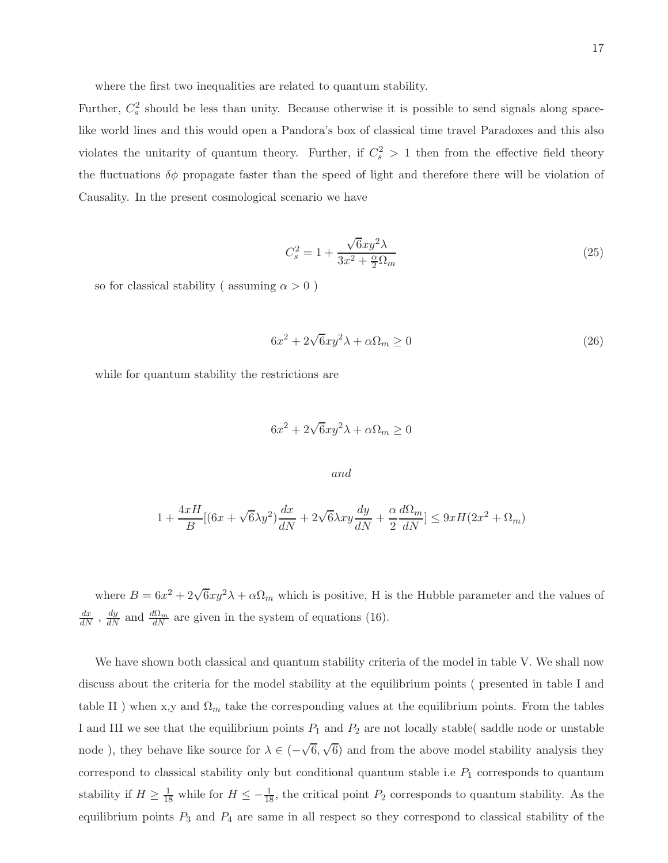where the first two inequalities are related to quantum stability.

Further,  $C_s^2$  should be less than unity. Because otherwise it is possible to send signals along spacelike world lines and this would open a Pandora's box of classical time travel Paradoxes and this also violates the unitarity of quantum theory. Further, if  $C_s^2 > 1$  then from the effective field theory the fluctuations  $\delta\phi$  propagate faster than the speed of light and therefore there will be violation of Causality. In the present cosmological scenario we have

$$
C_s^2 = 1 + \frac{\sqrt{6}xy^2\lambda}{3x^2 + \frac{\alpha}{2}\Omega_m} \tag{25}
$$

so for classical stability ( assuming  $\alpha > 0$  )

$$
6x^2 + 2\sqrt{6}xy^2\lambda + \alpha\Omega_m \ge 0
$$
\n(26)

while for quantum stability the restrictions are

$$
6x^2 + 2\sqrt{6}xy^2\lambda + \alpha\Omega_m \ge 0
$$

$$
and
$$

$$
1 + \frac{4xH}{B}[(6x + \sqrt{6\lambda}y^2)\frac{dx}{dN} + 2\sqrt{6\lambda}xy\frac{dy}{dN} + \frac{\alpha}{2}\frac{d\Omega_m}{dN}] \leq 9xH(2x^2 + \Omega_m)
$$

where  $B = 6x^2 + 2\sqrt{6}xy^2\lambda + \alpha\Omega_m$  which is positive, H is the Hubble parameter and the values of  $\frac{dx}{dN}$ ,  $\frac{dy}{dN}$  and  $\frac{d\Omega_m}{dN}$  are given in the system of equations (16).

We have shown both classical and quantum stability criteria of the model in table V. We shall now discuss about the criteria for the model stability at the equilibrium points ( presented in table I and table II) when x,y and  $\Omega_m$  take the corresponding values at the equilibrium points. From the tables I and III we see that the equilibrium points  $P_1$  and  $P_2$  are not locally stable( saddle node or unstable node), they behave like source for  $\lambda \in (-\sqrt{6}, \sqrt{6})$  and from the above model stability analysis they correspond to classical stability only but conditional quantum stable i.e  $P_1$  corresponds to quantum stability if  $H \ge \frac{1}{18}$  while for  $H \le -\frac{1}{18}$ , the critical point  $P_2$  corresponds to quantum stability. As the equilibrium points  $P_3$  and  $P_4$  are same in all respect so they correspond to classical stability of the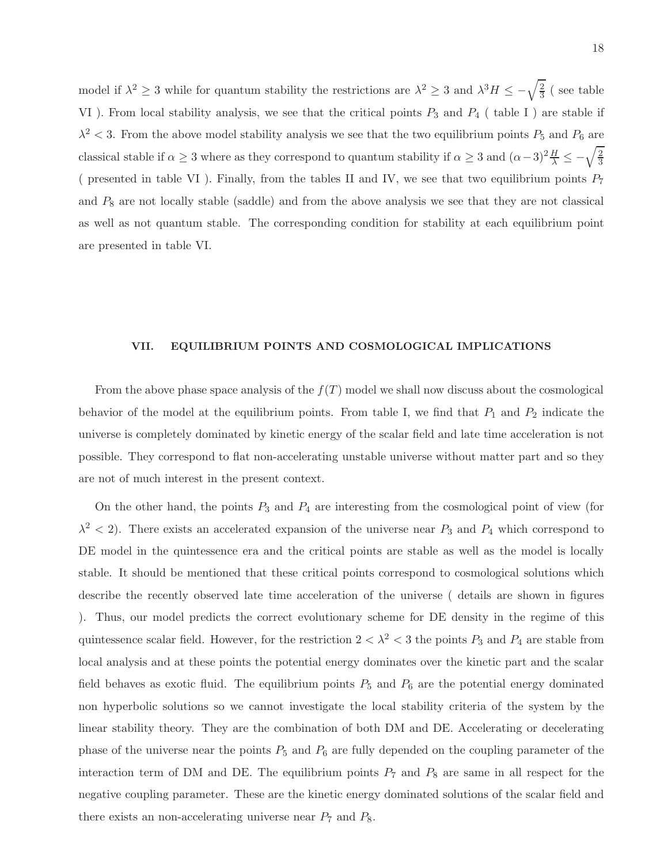model if  $\lambda^2 \geq 3$  while for quantum stability the restrictions are  $\lambda^2 \geq 3$  and  $\lambda^3 H \leq -\sqrt{\frac{2}{3}}$  $\frac{2}{3}$  (see table VI). From local stability analysis, we see that the critical points  $P_3$  and  $P_4$  (table I) are stable if  $\lambda^2$  < 3. From the above model stability analysis we see that the two equilibrium points  $P_5$  and  $P_6$  are classical stable if  $\alpha \ge 3$  where as they correspond to quantum stability if  $\alpha \ge 3$  and  $(\alpha-3)^2 \frac{H}{\lambda} \le -\sqrt{\frac{2}{3}}$ 3 ( presented in table VI). Finally, from the tables II and IV, we see that two equilibrium points  $P_7$ and  $P_8$  are not locally stable (saddle) and from the above analysis we see that they are not classical as well as not quantum stable. The corresponding condition for stability at each equilibrium point are presented in table VI.

#### VII. EQUILIBRIUM POINTS AND COSMOLOGICAL IMPLICATIONS

From the above phase space analysis of the  $f(T)$  model we shall now discuss about the cosmological behavior of the model at the equilibrium points. From table I, we find that  $P_1$  and  $P_2$  indicate the universe is completely dominated by kinetic energy of the scalar field and late time acceleration is not possible. They correspond to flat non-accelerating unstable universe without matter part and so they are not of much interest in the present context.

On the other hand, the points  $P_3$  and  $P_4$  are interesting from the cosmological point of view (for  $\lambda^2$  < 2). There exists an accelerated expansion of the universe near  $P_3$  and  $P_4$  which correspond to DE model in the quintessence era and the critical points are stable as well as the model is locally stable. It should be mentioned that these critical points correspond to cosmological solutions which describe the recently observed late time acceleration of the universe ( details are shown in figures ). Thus, our model predicts the correct evolutionary scheme for DE density in the regime of this quintessence scalar field. However, for the restriction  $2 < \lambda^2 < 3$  the points  $P_3$  and  $P_4$  are stable from local analysis and at these points the potential energy dominates over the kinetic part and the scalar field behaves as exotic fluid. The equilibrium points  $P_5$  and  $P_6$  are the potential energy dominated non hyperbolic solutions so we cannot investigate the local stability criteria of the system by the linear stability theory. They are the combination of both DM and DE. Accelerating or decelerating phase of the universe near the points  $P_5$  and  $P_6$  are fully depended on the coupling parameter of the interaction term of DM and DE. The equilibrium points  $P_7$  and  $P_8$  are same in all respect for the negative coupling parameter. These are the kinetic energy dominated solutions of the scalar field and there exists an non-accelerating universe near  $P_7$  and  $P_8$ .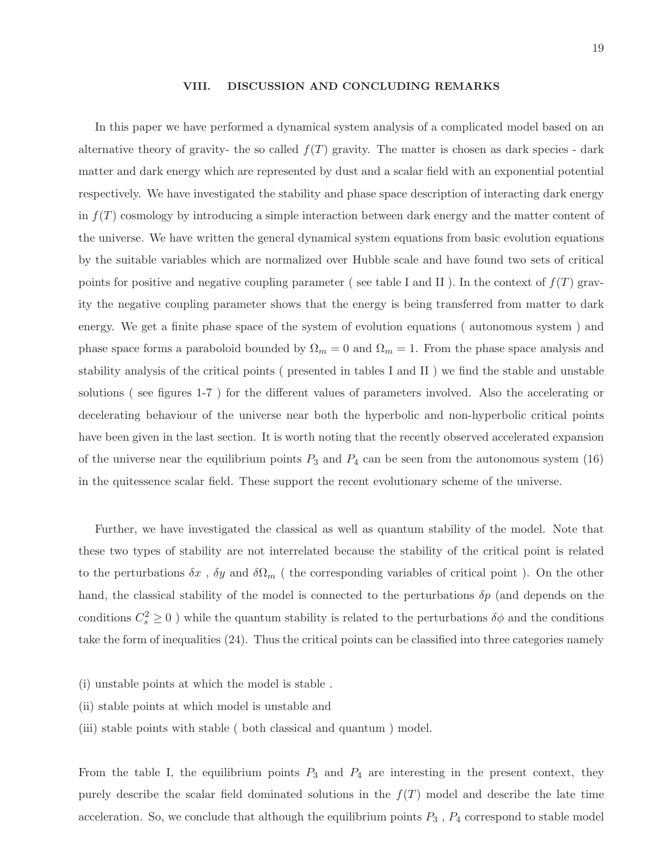#### VIII. DISCUSSION AND CONCLUDING REMARKS

In this paper we have performed a dynamical system analysis of a complicated model based on an alternative theory of gravity- the so called  $f(T)$  gravity. The matter is chosen as dark species - dark matter and dark energy which are represented by dust and a scalar field with an exponential potential respectively. We have investigated the stability and phase space description of interacting dark energy in  $f(T)$  cosmology by introducing a simple interaction between dark energy and the matter content of the universe. We have written the general dynamical system equations from basic evolution equations by the suitable variables which are normalized over Hubble scale and have found two sets of critical points for positive and negative coupling parameter (see table I and II). In the context of  $f(T)$  gravity the negative coupling parameter shows that the energy is being transferred from matter to dark energy. We get a finite phase space of the system of evolution equations ( autonomous system ) and phase space forms a paraboloid bounded by  $\Omega_m = 0$  and  $\Omega_m = 1$ . From the phase space analysis and stability analysis of the critical points ( presented in tables I and II ) we find the stable and unstable solutions ( see figures 1-7 ) for the different values of parameters involved. Also the accelerating or decelerating behaviour of the universe near both the hyperbolic and non-hyperbolic critical points have been given in the last section. It is worth noting that the recently observed accelerated expansion of the universe near the equilibrium points  $P_3$  and  $P_4$  can be seen from the autonomous system (16) in the quitessence scalar field. These support the recent evolutionary scheme of the universe.

Further, we have investigated the classical as well as quantum stability of the model. Note that these two types of stability are not interrelated because the stability of the critical point is related to the perturbations  $\delta x$ ,  $\delta y$  and  $\delta\Omega_m$  (the corresponding variables of critical point). On the other hand, the classical stability of the model is connected to the perturbations  $\delta p$  (and depends on the conditions  $C_s^2 \ge 0$ ) while the quantum stability is related to the perturbations  $\delta\phi$  and the conditions take the form of inequalities (24). Thus the critical points can be classified into three categories namely

- (i) unstable points at which the model is stable .
- (ii) stable points at which model is unstable and
- (iii) stable points with stable ( both classical and quantum ) model.

From the table I, the equilibrium points  $P_3$  and  $P_4$  are interesting in the present context, they purely describe the scalar field dominated solutions in the  $f(T)$  model and describe the late time acceleration. So, we conclude that although the equilibrium points  $P_3$ ,  $P_4$  correspond to stable model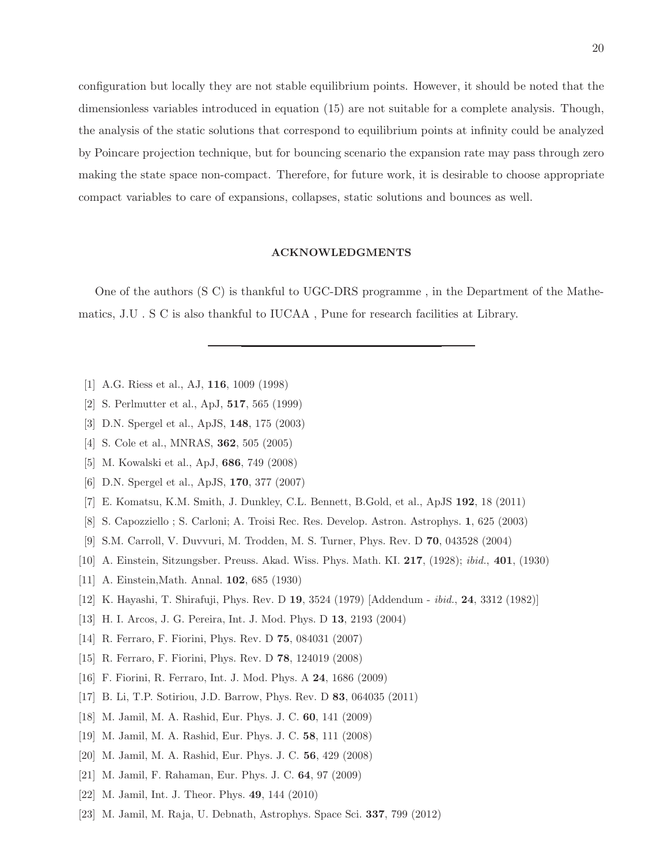configuration but locally they are not stable equilibrium points. However, it should be noted that the dimensionless variables introduced in equation (15) are not suitable for a complete analysis. Though, the analysis of the static solutions that correspond to equilibrium points at infinity could be analyzed by Poincare projection technique, but for bouncing scenario the expansion rate may pass through zero making the state space non-compact. Therefore, for future work, it is desirable to choose appropriate compact variables to care of expansions, collapses, static solutions and bounces as well.

### ACKNOWLEDGMENTS

One of the authors (S C) is thankful to UGC-DRS programme , in the Department of the Mathematics, J.U . S C is also thankful to IUCAA , Pune for research facilities at Library.

- [1] A.G. Riess et al., AJ, 116, 1009 (1998)
- [2] S. Perlmutter et al., ApJ, 517, 565 (1999)
- [3] D.N. Spergel et al., ApJS, 148, 175 (2003)
- [4] S. Cole et al., MNRAS, 362, 505 (2005)
- [5] M. Kowalski et al., ApJ, 686, 749 (2008)
- [6] D.N. Spergel et al., ApJS, 170, 377 (2007)
- [7] E. Komatsu, K.M. Smith, J. Dunkley, C.L. Bennett, B.Gold, et al., ApJS 192, 18 (2011)
- [8] S. Capozziello ; S. Carloni; A. Troisi Rec. Res. Develop. Astron. Astrophys. 1, 625 (2003)
- [9] S.M. Carroll, V. Duvvuri, M. Trodden, M. S. Turner, Phys. Rev. D 70, 043528 (2004)
- [10] A. Einstein, Sitzungsber. Preuss. Akad. Wiss. Phys. Math. KI. 217, (1928); ibid., 401, (1930)
- [11] A. Einstein,Math. Annal. 102, 685 (1930)
- [12] K. Hayashi, T. Shirafuji, Phys. Rev. D 19, 3524 (1979) [Addendum ibid., 24, 3312 (1982)]
- [13] H. I. Arcos, J. G. Pereira, Int. J. Mod. Phys. D 13, 2193 (2004)
- [14] R. Ferraro, F. Fiorini, Phys. Rev. D 75, 084031 (2007)
- [15] R. Ferraro, F. Fiorini, Phys. Rev. D 78, 124019 (2008)
- [16] F. Fiorini, R. Ferraro, Int. J. Mod. Phys. A 24, 1686 (2009)
- [17] B. Li, T.P. Sotiriou, J.D. Barrow, Phys. Rev. D 83, 064035 (2011)
- [18] M. Jamil, M. A. Rashid, Eur. Phys. J. C. 60, 141 (2009)
- [19] M. Jamil, M. A. Rashid, Eur. Phys. J. C. 58, 111 (2008)
- [20] M. Jamil, M. A. Rashid, Eur. Phys. J. C. 56, 429 (2008)
- [21] M. Jamil, F. Rahaman, Eur. Phys. J. C. 64, 97 (2009)
- [22] M. Jamil, Int. J. Theor. Phys. 49, 144 (2010)
- [23] M. Jamil, M. Raja, U. Debnath, Astrophys. Space Sci. 337, 799 (2012)